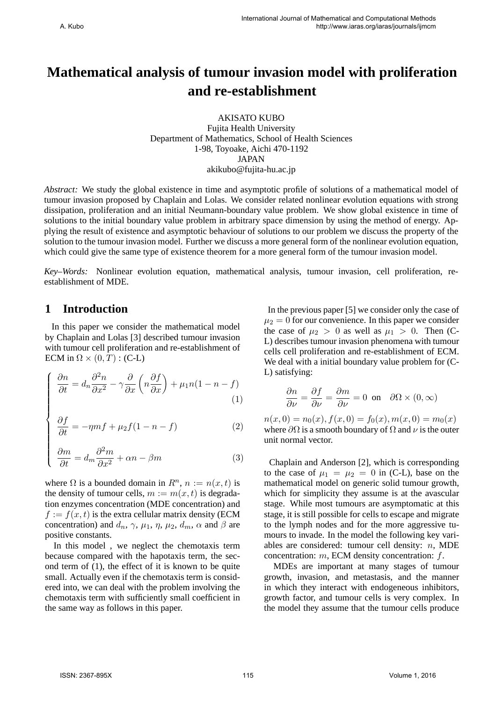# **Mathematical analysis of tumour invasion model with proliferation and re-establishment**

AKISATO KUBO Fujita Health University Department of Mathematics, School of Health Sciences 1-98, Toyoake, Aichi 470-1192 JAPAN akikubo@fujita-hu.ac.jp

*Abstract:* We study the global existence in time and asymptotic profile of solutions of a mathematical model of tumour invasion proposed by Chaplain and Lolas. We consider related nonlinear evolution equations with strong dissipation, proliferation and an initial Neumann-boundary value problem. We show global existence in time of solutions to the initial boundary value problem in arbitrary space dimension by using the method of energy. Applying the result of existence and asymptotic behaviour of solutions to our problem we discuss the property of the solution to the tumour invasion model. Further we discuss a more general form of the nonlinear evolution equation, which could give the same type of existence theorem for a more general form of the tumour invasion model.

*Key–Words:* Nonlinear evolution equation, mathematical analysis, tumour invasion, cell proliferation, reestablishment of MDE.

### **1 Introduction**

 $\sqrt{ }$ 

 $\overline{\phantom{a}}$ 

 $\begin{array}{c} \hline \end{array}$ 

In this paper we consider the mathematical model by Chaplain and Lolas [3] described tumour invasion with tumour cell proliferation and re-establishment of ECM in  $\Omega \times (0,T)$  : (C-L)

$$
\frac{\partial n}{\partial t} = d_n \frac{\partial^2 n}{\partial x^2} - \gamma \frac{\partial}{\partial x} \left( n \frac{\partial f}{\partial x} \right) + \mu_1 n (1 - n - f) \tag{1}
$$

$$
\frac{\partial f}{\partial t} = -\eta mf + \mu_2 f (1 - n - f) \tag{2}
$$

$$
\frac{\partial m}{\partial t} = d_m \frac{\partial^2 m}{\partial x^2} + \alpha n - \beta m \tag{3}
$$

where  $\Omega$  is a bounded domain in  $R^n$ ,  $n := n(x, t)$  is the density of tumour cells,  $m := m(x, t)$  is degradation enzymes concentration (MDE concentration) and  $f := f(x, t)$  is the extra cellular matrix density (ECM) concentration) and  $d_n$ ,  $\gamma$ ,  $\mu_1$ ,  $\eta$ ,  $\mu_2$ ,  $d_m$ ,  $\alpha$  and  $\beta$  are positive constants.

In this model , we neglect the chemotaxis term because compared with the hapotaxis term, the second term of (1), the effect of it is known to be quite small. Actually even if the chemotaxis term is considered into, we can deal with the problem involving the chemotaxis term with sufficiently small coefficient in the same way as follows in this paper.

In the previous paper [5] we consider only the case of  $\mu_2 = 0$  for our convenience. In this paper we consider the case of  $\mu_2 > 0$  as well as  $\mu_1 > 0$ . Then (C-L) describes tumour invasion phenomena with tumour cells cell proliferation and re-establishment of ECM. We deal with a initial boundary value problem for (C-L) satisfying:

$$
\frac{\partial n}{\partial \nu} = \frac{\partial f}{\partial \nu} = \frac{\partial m}{\partial \nu} = 0 \text{ on } \partial \Omega \times (0, \infty)
$$

 $n(x, 0) = n_0(x), f(x, 0) = f_0(x), m(x, 0) = m_0(x)$ where  $\partial\Omega$  is a smooth boundary of  $\Omega$  and  $\nu$  is the outer unit normal vector.

Chaplain and Anderson [2], which is corresponding to the case of  $\mu_1 = \mu_2 = 0$  in (C-L), base on the mathematical model on generic solid tumour growth, which for simplicity they assume is at the avascular stage. While most tumours are asymptomatic at this stage, it is still possible for cells to escape and migrate to the lymph nodes and for the more aggressive tumours to invade. In the model the following key variables are considered: tumour cell density: *n*, MDE concentration: *m*, ECM density concentration: *f*.

MDEs are important at many stages of tumour growth, invasion, and metastasis, and the manner in which they interact with endogeneous inhibitors, growth factor, and tumour cells is very complex. In the model they assume that the tumour cells produce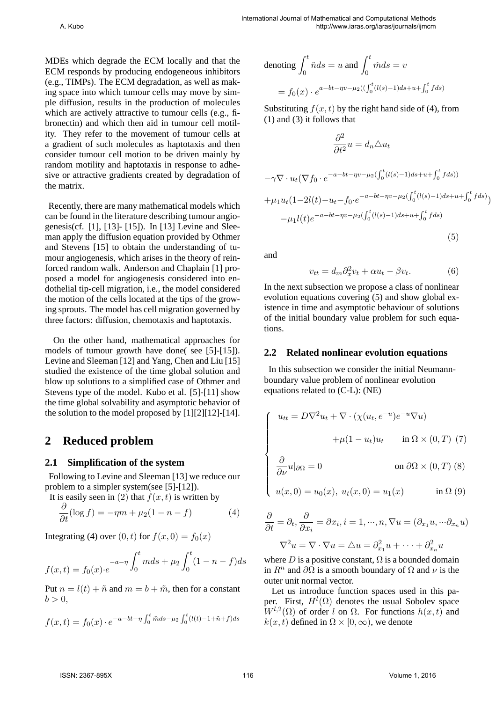MDEs which degrade the ECM locally and that the ECM responds by producing endogeneous inhibitors (e.g., TIMPs). The ECM degradation, as well as making space into which tumour cells may move by simple diffusion, results in the production of molecules which are actively attractive to tumour cells (e.g., fibronectin) and which then aid in tumour cell motility. They refer to the movement of tumour cells at a gradient of such molecules as haptotaxis and then consider tumour cell motion to be driven mainly by random motility and haptotaxis in response to adhesive or attractive gradients created by degradation of the matrix.

Recently, there are many mathematical models which can be found in the literature describing tumour angiogenesis(cf. [1], [13]- [15]). In [13] Levine and Sleeman apply the diffusion equation provided by Othmer and Stevens [15] to obtain the understanding of tumour angiogenesis, which arises in the theory of reinforced random walk. Anderson and Chaplain [1] proposed a model for angiogenesis considered into endothelial tip-cell migration, i.e., the model considered the motion of the cells located at the tips of the growing sprouts. The model has cell migration governed by three factors: diffusion, chemotaxis and haptotaxis.

On the other hand, mathematical approaches for models of tumour growth have done( see [5]-[15]). Levine and Sleeman [12] and Yang, Chen and Liu [15] studied the existence of the time global solution and blow up solutions to a simplified case of Othmer and Stevens type of the model. Kubo et al. [5]-[11] show the time global solvability and asymptotic behavior of the solution to the model proposed by  $[1][2][12]-[14]$ .

## **2 Reduced problem**

### **2.1 Simplification of the system**

Following to Levine and Sleeman [13] we reduce our problem to a simpler system(see [5]-[12]).

It is easily seen in (2) that  $f(x, t)$  is written by

$$
\frac{\partial}{\partial t}(\log f) = -\eta m + \mu_2 (1 - n - f) \tag{4}
$$

Integrating (4) over  $(0, t)$  for  $f(x, 0) = f_0(x)$ 

$$
f(x,t) = f_0(x) \cdot e^{-a-\eta} \int_0^t m ds + \mu_2 \int_0^t (1 - n - f) ds
$$

Put  $n = l(t) + \tilde{n}$  and  $m = b + \tilde{m}$ , then for a constant  $b > 0$ .

$$
f(x,t) = f_0(x) \cdot e^{-a - bt - \eta \int_0^t \tilde{m} ds - \mu_2 \int_0^t (l(t) - 1 + \tilde{n} + f) ds}
$$

denoting 
$$
\int_0^t \tilde{n} ds = u \text{ and } \int_0^t \tilde{m} ds = v
$$

$$
= f_0(x) \cdot e^{a - bt - \eta v - \mu_2((\int_0^t (l(s) - 1) ds + u + \int_0^t f ds))}
$$

Substituting  $f(x, t)$  by the right hand side of (4), from (1) and (3) it follows that

$$
\frac{\partial^2}{\partial t^2}u = d_n \triangle u_t
$$

$$
-\gamma \nabla \cdot u_t (\nabla f_0 \cdot e^{-a - bt - \eta v - \mu_2(\int_0^t (l(s) - 1) ds + u + \int_0^t f ds))}
$$
  
+  $\mu_1 u_t (1 - 2l(t) - u_t - f_0 \cdot e^{-a - bt - \eta v - \mu_2(\int_0^t (l(s) - 1) ds + u + \int_0^t f ds)})$   
-  $\mu_1 l(t) e^{-a - bt - \eta v - \mu_2(\int_0^t (l(s) - 1) ds + u + \int_0^t f ds)}$ 

and

$$
v_{tt} = d_m \partial_x^2 v_t + \alpha u_t - \beta v_t.
$$
 (6)

(5)

In the next subsection we propose a class of nonlinear evolution equations covering (5) and show global existence in time and asymptotic behaviour of solutions of the initial boundary value problem for such equations.

#### **2.2 Related nonlinear evolution equations**

In this subsection we consider the initial Neumannboundary value problem of nonlinear evolution equations related to (C-L): (NE)

$$
\begin{cases}\n u_{tt} = D\nabla^2 u_t + \nabla \cdot (\chi(u_t, e^{-u})e^{-u}\nabla u) \\
 + \mu(1 - u_t)u_t \quad \text{in } \Omega \times (0, T) \tag{7}\n\end{cases}
$$

$$
\begin{cases} \n\frac{\partial}{\partial \nu} u|_{\partial \Omega} = 0 & \text{on } \partial \Omega \times (0, T) \text{ (8)} \\ \nu(x, 0) = u_0(x), \ u_t(x, 0) = u_1(x) & \text{in } \Omega \text{ (9)} \n\end{cases}
$$

$$
u(x, 0) = u_0(x), u_t(x, 0) = u_1(x) \qquad \text{in } \Omega (9)
$$

$$
\frac{\partial}{\partial t} = \partial_t, \frac{\partial}{\partial x_i} = \partial x_i, i = 1, \dots, n, \nabla u = (\partial_{x_1} u, \dots \partial_{x_n} u)
$$

$$
\nabla^2 u = \nabla \cdot \nabla u = \triangle u = \partial_{x_1}^2 u + \dots + \partial_{x_n}^2 u
$$

where  $D$  is a positive constant,  $\Omega$  is a bounded domain in  $R^n$  and  $\partial\Omega$  is a smooth boundary of  $\Omega$  and  $\nu$  is the outer unit normal vector.

Let us introduce function spaces used in this paper. First,  $H^l(\Omega)$  denotes the usual Sobolev space  $W^{l,2}(\Omega)$  of order *l* on  $\Omega$ . For functions  $h(x,t)$  and  $k(x, t)$  defined in  $\Omega \times [0, \infty)$ , we denote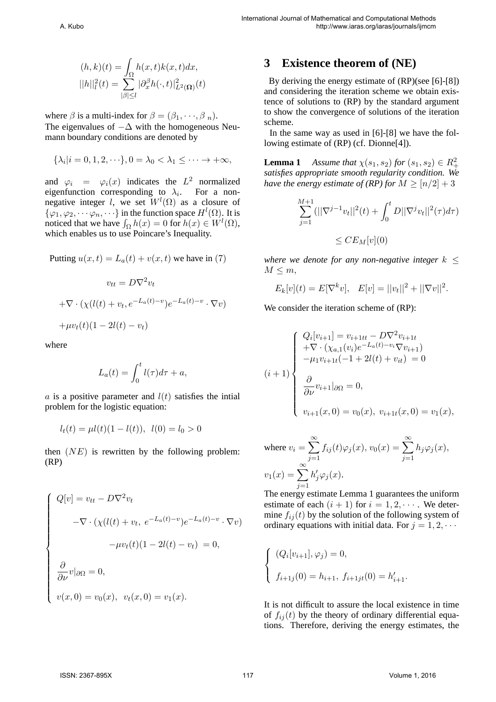$$
(h,k)(t) = \int_{\Omega} h(x,t)k(x,t)dx,
$$
  
\n
$$
||h||_l^2(t) = \sum_{|\beta| \le l} |\partial_x^{\beta} h(\cdot, t)|_{L^2(\Omega)}^2(t)
$$

where  $\beta$  is a multi-index for  $\beta = (\beta_1, \dots, \beta_n)$ . The eigenvalues of *−*∆ with the homogeneous Neumann boundary conditions are denoted by

$$
\{\lambda_i|i=0,1,2,\cdot\cdot\cdot\},0=\lambda_0<\lambda_1\leq\cdot\cdot\cdot\rightarrow+\infty,
$$

and  $\varphi_i = \varphi_i(x)$  indicates the  $L^2$  normalized eigenfunction corresponding to  $\lambda_i$ . For a nonnegative integer *l*, we set  $W^l(\Omega)$  as a closure of  $\{\varphi_1, \varphi_2, \cdots, \varphi_n, \cdots\}$  in the function space  $H^l(\Omega)$ . It is noticed that we have  $\int_{\Omega} h(x) = 0$  for  $h(x) \in W^l(\Omega)$ , which enables us to use Poincare's Inequality.

Putting 
$$
u(x,t) = L_a(t) + v(x,t)
$$
 we have in (7)

$$
v_{tt} = D\nabla^2 v_t
$$

$$
+\nabla \cdot (\chi(l(t) + v_t, e^{-L_a(t)-v})e^{-L_a(t)-v} \cdot \nabla v)
$$

$$
+\mu v_t(t)(1 - 2l(t) - v_t)
$$

where

$$
L_a(t) = \int_0^t l(\tau)d\tau + a,
$$

*a* is a positive parameter and  $l(t)$  satisfies the intial problem for the logistic equation:

$$
l_t(t) = \mu l(t)(1 - l(t)), \ \ l(0) = l_0 > 0
$$

then (*NE*) is rewritten by the following problem: (RP)

$$
\begin{cases}\nQ[v] = v_{tt} - D\nabla^2 v_t \\
-\nabla \cdot (\chi(l(t) + v_t, e^{-L_a(t)-v})e^{-L_a(t)-v} \cdot \nabla v) \\
-\mu v_t(t)(1 - 2l(t) - v_t) = 0, \\
\frac{\partial}{\partial \nu} v|_{\partial \Omega} = 0, \\
v(x, 0) = v_0(x), v_t(x, 0) = v_1(x).\n\end{cases}
$$

# **3 Existence theorem of (NE)**

By deriving the energy estimate of (RP)(see [6]-[8]) and considering the iteration scheme we obtain existence of solutions to (RP) by the standard argument to show the convergence of solutions of the iteration scheme.

In the same way as used in [6]-[8] we have the following estimate of (RP) (cf. Dionne[4]).

**Lemma 1** *Assume that*  $\chi(s_1, s_2)$  *for*  $(s_1, s_2) \in R_+^2$ *satisfies appropriate smooth regularity condition. We have the energy estimate of (RP) for*  $M \geq \lfloor n/2 \rfloor + 3$ 

$$
\sum_{j=1}^{M+1} (||\nabla^{j-1} v_t||^2(t) + \int_0^t D||\nabla^j v_t||^2(\tau) d\tau)
$$
  

$$
\leq C E_M[v](0)
$$

*where we denote for any non-negative integer*  $k \leq$  $M \leq m$ ,

$$
E_k[v](t) = E[\nabla^k v], \quad E[v] = ||v_t||^2 + ||\nabla v||^2.
$$

We consider the iteration scheme of (RP):

$$
(i+1) \begin{cases} Q_i[v_{i+1}] = v_{i+1tt} - D\nabla^2 v_{i+1t} \\ + \nabla \cdot (\chi_{a,1}(v_i)e^{-L_a(t) - v_i} \nabla v_{i+1}) \\ - \mu_1 v_{i+1t}(-1 + 2l(t) + v_{it}) = 0 \\ \frac{\partial}{\partial \nu} v_{i+1}|_{\partial \Omega} = 0, \\ v_{i+1}(x, 0) = v_0(x), v_{i+1t}(x, 0) = v_1(x), \end{cases}
$$

where 
$$
v_i = \sum_{j=1}^{\infty} f_{ij}(t)\varphi_j(x)
$$
,  $v_0(x) = \sum_{j=1}^{\infty} h_j \varphi_j(x)$ ,  
\n
$$
v_1(x) = \sum_{j=1}^{\infty} h'_j \varphi_j(x).
$$

The energy estimate Lemma 1 guarantees the uniform estimate of each  $(i + 1)$  for  $i = 1, 2, \cdots$ . We determine  $f_{ij}(t)$  by the solution of the following system of ordinary equations with initial data. For  $j = 1, 2, \cdots$ 

$$
\begin{cases} (Q_i[v_{i+1}], \varphi_j) = 0, \\ f_{i+1j}(0) = h_{i+1}, f_{i+1jt}(0) = h'_{i+1}. \end{cases}
$$

It is not difficult to assure the local existence in time of  $f_{ij}(t)$  by the theory of ordinary differential equations. Therefore, deriving the energy estimates, the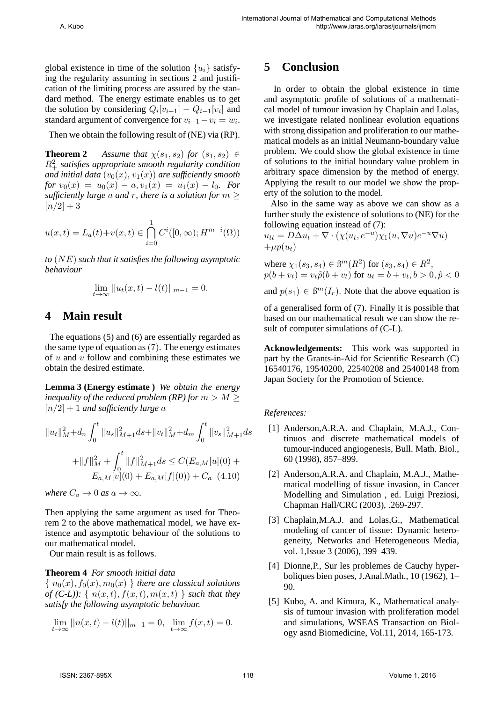global existence in time of the solution  $\{u_i\}$  satisfying the regularity assuming in sections 2 and justification of the limiting process are assured by the standard method. The energy estimate enables us to get the solution by considering  $Q_i[v_{i+1}] - Q_{i-1}[v_i]$  and standard argument of convergence for  $v_{i+1} - v_i = w_i$ .

Then we obtain the following result of (NE) via (RP).

**Theorem 2** *Assume that*  $\chi(s_1, s_2)$  *for*  $(s_1, s_2) \in$ *R*<sup>2</sup> <sup>+</sup> *satisfies appropriate smooth regularity condition and initial data*  $(v_0(x), v_1(x))$  *are sufficiently smooth*  $for v_0(x) = u_0(x) - a, v_1(x) = u_1(x) - l_0.$  For *sufficiently large a and r, there is a solution for*  $m \geq 0$  $[n/2] + 3$ 

$$
u(x,t) = L_a(t) + v(x,t) \in \bigcap_{i=0}^{1} C^i([0,\infty); H^{m-i}(\Omega))
$$

*to* (*NE*) *such that it satisfies the following asymptotic behaviour*

$$
\lim_{t \to \infty} ||u_t(x, t) - l(t)||_{m-1} = 0.
$$

## **4 Main result**

The equations (5) and (6) are essentially regarded as the same type of equation as  $(7)$ . The energy estimates of *u* and *v* follow and combining these estimates we obtain the desired estimate.

**Lemma 3 (Energy estimate )** *We obtain the energy inequality of the reduced problem (RP) for*  $m > M \geq$  $[n/2] + 1$  *and sufficiently large a* 

$$
||u_t||_M^2 + d_n \int_0^t ||u_s||_{M+1}^2 ds + ||v_t||_M^2 + d_m \int_0^t ||v_s||_{M+1}^2 ds
$$
  
+ 
$$
||f||_M^2 + \int_0^t ||f||_{M+1}^2 ds \le C(E_{a,M}[u](0) + E_{a,M}[v](0) + E_{a,M}[f](0)) + C_a \quad (4.10)
$$

*where*  $C_a \rightarrow 0$  *as*  $a \rightarrow \infty$ *.* 

Then applying the same argument as used for Theorem 2 to the above mathematical model, we have existence and asymptotic behaviour of the solutions to our mathematical model.

Our main result is as follows.

### **Theorem 4** *For smooth initial data*

 $\{ n_0(x), f_0(x), m_0(x) \}$  *there are classical solutions of* (C-L)):  $\{ n(x,t), f(x,t), m(x,t) \}$  *such that they satisfy the following asymptotic behaviour.*

$$
\lim_{t \to \infty} ||n(x, t) - l(t)||_{m-1} = 0, \lim_{t \to \infty} f(x, t) = 0.
$$

### **5 Conclusion**

In order to obtain the global existence in time and asymptotic profile of solutions of a mathematical model of tumour invasion by Chaplain and Lolas, we investigate related nonlinear evolution equations with strong dissipation and proliferation to our mathematical models as an initial Neumann-boundary value problem. We could show the global existence in time of solutions to the initial boundary value problem in arbitrary space dimension by the method of energy. Applying the result to our model we show the property of the solution to the model.

Also in the same way as above we can show as a further study the existence of solutions to (NE) for the following equation instead of (7):

$$
u_{tt} = D\Delta u_t + \nabla \cdot (\chi(u_t, e^{-u})\chi_1(u, \nabla u)e^{-u}\nabla u)
$$
  
+ $\mu p(u_t)$ 

 $\text{where } \chi_1(s_3, s_4) \in \mathbb{B}^m(R^2) \text{ for } (s_3, s_4) \in R^2,$  $p(b + v_t) = v_t \tilde{p}(b + v_t)$  for  $u_t = b + v_t, b > 0, \tilde{p} < 0$ 

and  $p(s_1) \in \mathbb{B}^m(I_r)$ . Note that the above equation is

of a generalised form of (7). Finally it is possible that based on our mathematical result we can show the result of computer simulations of (C-L).

**Acknowledgements:** This work was supported in part by the Grants-in-Aid for Scientific Research (C) 16540176, 19540200, 22540208 and 25400148 from Japan Society for the Promotion of Science.

### *References:*

- [1] Anderson, A.R.A. and Chaplain, M.A.J., Continuos and discrete mathematical models of tumour-induced angiogenesis, Bull. Math. Biol., 60 (1998), 857–899.
- [2] Anderson,A.R.A. and Chaplain, M.A.J., Mathematical modelling of tissue invasion, in Cancer Modelling and Simulation , ed. Luigi Preziosi, Chapman Hall/CRC (2003), .269-297.
- [3] Chaplain, M.A.J. and Lolas, G., Mathematical modeling of cancer of tissue: Dynamic heterogeneity, Networks and Heterogeneous Media, vol. 1,Issue 3 (2006), 399–439.
- [4] Dionne,P., Sur les problemes de Cauchy hyperboliques bien poses, J.Anal.Math., 10 (1962), 1– 90.
- [5] Kubo, A. and Kimura, K., Mathematical analysis of tumour invasion with proliferation model and simulations, WSEAS Transaction on Biology asnd Biomedicine, Vol.11, 2014, 165-173.